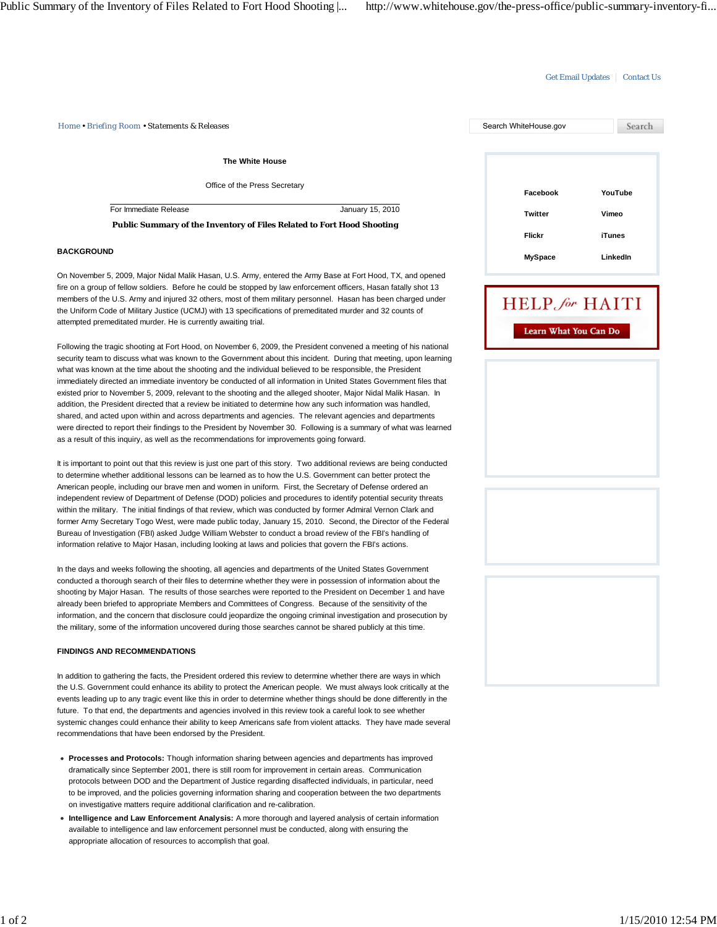## Get Email Updates | Contact Us

*Home • Briefing Room • Statements & Releases* Search WhiteHouse.gov

**The White House**

Office of the Press Secretary

For Immediate Release January 15, 2010

**Public Summary of the Inventory of Files Related to Fort Hood Shooting**

#### **BACKGROUND**

On November 5, 2009, Major Nidal Malik Hasan, U.S. Army, entered the Army Base at Fort Hood, TX, and opened fire on a group of fellow soldiers. Before he could be stopped by law enforcement officers, Hasan fatally shot 13 members of the U.S. Army and injured 32 others, most of them military personnel. Hasan has been charged under the Uniform Code of Military Justice (UCMJ) with 13 specifications of premeditated murder and 32 counts of attempted premeditated murder. He is currently awaiting trial.

Following the tragic shooting at Fort Hood, on November 6, 2009, the President convened a meeting of his national security team to discuss what was known to the Government about this incident. During that meeting, upon learning what was known at the time about the shooting and the individual believed to be responsible, the President immediately directed an immediate inventory be conducted of all information in United States Government files that existed prior to November 5, 2009, relevant to the shooting and the alleged shooter, Major Nidal Malik Hasan. In addition, the President directed that a review be initiated to determine how any such information was handled, shared, and acted upon within and across departments and agencies. The relevant agencies and departments were directed to report their findings to the President by November 30. Following is a summary of what was learned as a result of this inquiry, as well as the recommendations for improvements going forward.

It is important to point out that this review is just one part of this story. Two additional reviews are being conducted to determine whether additional lessons can be learned as to how the U.S. Government can better protect the American people, including our brave men and women in uniform. First, the Secretary of Defense ordered an independent review of Department of Defense (DOD) policies and procedures to identify potential security threats within the military. The initial findings of that review, which was conducted by former Admiral Vernon Clark and former Army Secretary Togo West, were made public today, January 15, 2010. Second, the Director of the Federal Bureau of Investigation (FBI) asked Judge William Webster to conduct a broad review of the FBI's handling of information relative to Major Hasan, including looking at laws and policies that govern the FBI's actions.

In the days and weeks following the shooting, all agencies and departments of the United States Government conducted a thorough search of their files to determine whether they were in possession of information about the shooting by Major Hasan. The results of those searches were reported to the President on December 1 and have already been briefed to appropriate Members and Committees of Congress. Because of the sensitivity of the information, and the concern that disclosure could jeopardize the ongoing criminal investigation and prosecution by the military, some of the information uncovered during those searches cannot be shared publicly at this time.

#### **FINDINGS AND RECOMMENDATIONS**

In addition to gathering the facts, the President ordered this review to determine whether there are ways in which the U.S. Government could enhance its ability to protect the American people. We must always look critically at the events leading up to any tragic event like this in order to determine whether things should be done differently in the future. To that end, the departments and agencies involved in this review took a careful look to see whether systemic changes could enhance their ability to keep Americans safe from violent attacks. They have made several recommendations that have been endorsed by the President.

- **Processes and Protocols:** Though information sharing between agencies and departments has improved dramatically since September 2001, there is still room for improvement in certain areas. Communication protocols between DOD and the Department of Justice regarding disaffected individuals, in particular, need to be improved, and the policies governing information sharing and cooperation between the two departments on investigative matters require additional clarification and re-calibration.
- **Intelligence and Law Enforcement Analysis:** A more thorough and layered analysis of certain information available to intelligence and law enforcement personnel must be conducted, along with ensuring the appropriate allocation of resources to accomplish that goal.